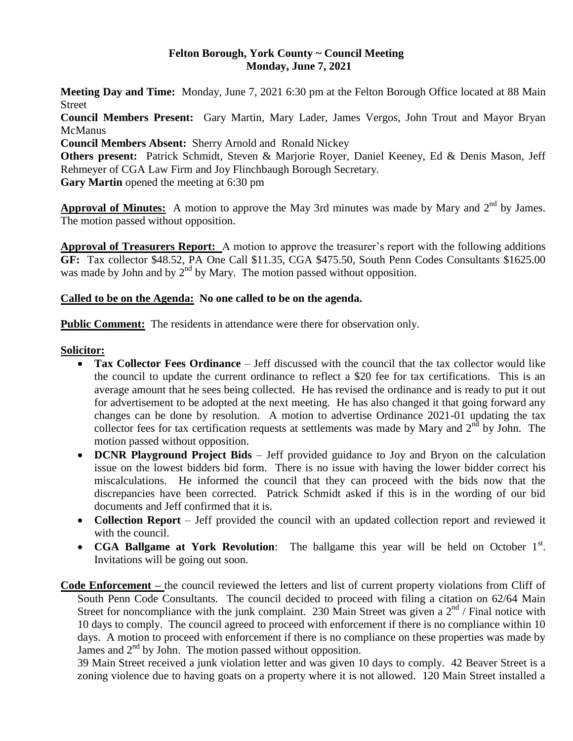#### **Felton Borough, York County ~ Council Meeting Monday, June 7, 2021**

**Meeting Day and Time:** Monday, June 7, 2021 6:30 pm at the Felton Borough Office located at 88 Main Street

**Council Members Present:** Gary Martin, Mary Lader, James Vergos, John Trout and Mayor Bryan McManus

**Council Members Absent:** Sherry Arnold and Ronald Nickey

**Others present:** Patrick Schmidt, Steven & Marjorie Royer, Daniel Keeney, Ed & Denis Mason, Jeff Rehmeyer of CGA Law Firm and Joy Flinchbaugh Borough Secretary.

**Gary Martin** opened the meeting at 6:30 pm

Approval of Minutes: A motion to approve the May 3rd minutes was made by Mary and 2<sup>nd</sup> by James. The motion passed without opposition.

**Approval of Treasurers Report:** A motion to approve the treasurer's report with the following additions **GF:** Tax collector \$48.52, PA One Call \$11.35, CGA \$475.50, South Penn Codes Consultants \$1625.00 was made by John and by  $2<sup>nd</sup>$  by Mary. The motion passed without opposition.

## **Called to be on the Agenda: No one called to be on the agenda.**

**Public Comment:** The residents in attendance were there for observation only.

#### **Solicitor:**

- **Tax Collector Fees Ordinance** Jeff discussed with the council that the tax collector would like the council to update the current ordinance to reflect a \$20 fee for tax certifications. This is an average amount that he sees being collected. He has revised the ordinance and is ready to put it out for advertisement to be adopted at the next meeting. He has also changed it that going forward any changes can be done by resolution. A motion to advertise Ordinance 2021-01 updating the tax collector fees for tax certification requests at settlements was made by Mary and 2<sup>nd</sup> by John. The motion passed without opposition.
- **DCNR Playground Project Bids** Jeff provided guidance to Joy and Bryon on the calculation issue on the lowest bidders bid form. There is no issue with having the lower bidder correct his miscalculations. He informed the council that they can proceed with the bids now that the discrepancies have been corrected. Patrick Schmidt asked if this is in the wording of our bid documents and Jeff confirmed that it is.
- **Collection Report** Jeff provided the council with an updated collection report and reviewed it with the council.
- **CGA Ballgame at York Revolution**: The ballgame this year will be held on October 1<sup>st</sup>. Invitations will be going out soon.

**Code Enforcement –** the council reviewed the letters and list of current property violations from Cliff of South Penn Code Consultants. The council decided to proceed with filing a citation on 62/64 Main Street for noncompliance with the junk complaint. 230 Main Street was given a  $2^{nd}$  / Final notice with 10 days to comply. The council agreed to proceed with enforcement if there is no compliance within 10 days. A motion to proceed with enforcement if there is no compliance on these properties was made by James and  $2<sup>nd</sup>$  by John. The motion passed without opposition.

39 Main Street received a junk violation letter and was given 10 days to comply. 42 Beaver Street is a zoning violence due to having goats on a property where it is not allowed. 120 Main Street installed a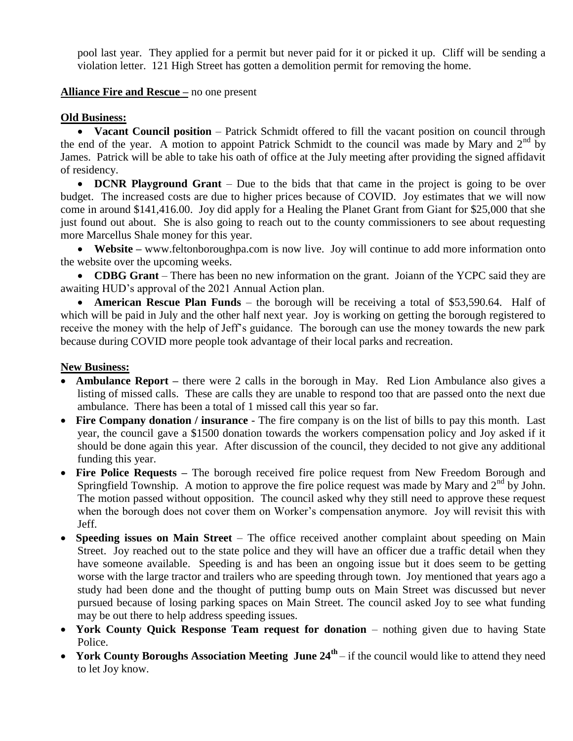pool last year. They applied for a permit but never paid for it or picked it up. Cliff will be sending a violation letter. 121 High Street has gotten a demolition permit for removing the home.

## **Alliance Fire and Rescue –** no one present

#### **Old Business:**

• Vacant Council position – Patrick Schmidt offered to fill the vacant position on council through the end of the year. A motion to appoint Patrick Schmidt to the council was made by Mary and  $2^{nd}$  by James. Patrick will be able to take his oath of office at the July meeting after providing the signed affidavit of residency.

• **DCNR Playground Grant** – Due to the bids that that came in the project is going to be over budget. The increased costs are due to higher prices because of COVID. Joy estimates that we will now come in around \$141,416.00. Joy did apply for a Healing the Planet Grant from Giant for \$25,000 that she just found out about. She is also going to reach out to the county commissioners to see about requesting more Marcellus Shale money for this year.

 **Website –** [www.feltonboroughpa.com](http://www.feltonboroughpa.com/) is now live. Joy will continue to add more information onto the website over the upcoming weeks.

• **CDBG Grant** – There has been no new information on the grant. Joiann of the YCPC said they are awaiting HUD's approval of the 2021 Annual Action plan.

 **American Rescue Plan Funds** – the borough will be receiving a total of \$53,590.64. Half of which will be paid in July and the other half next year. Joy is working on getting the borough registered to receive the money with the help of Jeff's guidance. The borough can use the money towards the new park because during COVID more people took advantage of their local parks and recreation.

## **New Business:**

- **Ambulance Report –** there were 2 calls in the borough in May. Red Lion Ambulance also gives a listing of missed calls. These are calls they are unable to respond too that are passed onto the next due ambulance. There has been a total of 1 missed call this year so far.
- **Fire Company donation / insurance** The fire company is on the list of bills to pay this month. Last year, the council gave a \$1500 donation towards the workers compensation policy and Joy asked if it should be done again this year. After discussion of the council, they decided to not give any additional funding this year.
- Fire Police Requests The borough received fire police request from New Freedom Borough and Springfield Township. A motion to approve the fire police request was made by Mary and  $2<sup>nd</sup>$  by John. The motion passed without opposition. The council asked why they still need to approve these request when the borough does not cover them on Worker's compensation anymore. Joy will revisit this with Jeff.
- **Speeding issues on Main Street**  The office received another complaint about speeding on Main Street. Joy reached out to the state police and they will have an officer due a traffic detail when they have someone available. Speeding is and has been an ongoing issue but it does seem to be getting worse with the large tractor and trailers who are speeding through town. Joy mentioned that years ago a study had been done and the thought of putting bump outs on Main Street was discussed but never pursued because of losing parking spaces on Main Street. The council asked Joy to see what funding may be out there to help address speeding issues.
- **York County Quick Response Team request for donation** nothing given due to having State Police.
- York County Boroughs Association Meeting June  $24^{\text{th}}$  if the council would like to attend they need to let Joy know.